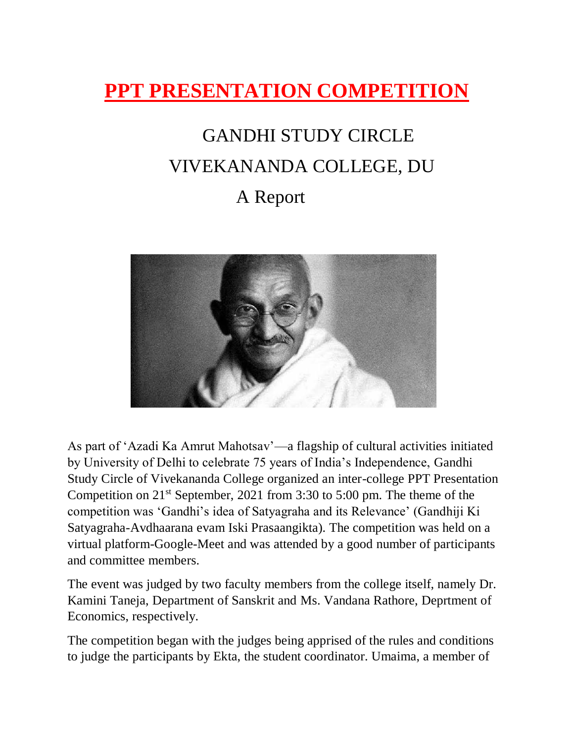## **PPT PRESENTATION COMPETITION**

# GANDHI STUDY CIRCLE VIVEKANANDA COLLEGE, DU

#### A Report



As part of 'Azadi Ka Amrut Mahotsav'—a flagship of cultural activities initiated by University of Delhi to celebrate 75 years of India's Independence, Gandhi Study Circle of Vivekananda College organized an inter-college PPT Presentation Competition on 21st September, 2021 from 3:30 to 5:00 pm. The theme of the competition was 'Gandhi's idea of Satyagraha and its Relevance' (Gandhiji Ki Satyagraha-Avdhaarana evam Iski Prasaangikta). The competition was held on a virtual platform-Google-Meet and was attended by a good number of participants and committee members.

The event was judged by two faculty members from the college itself, namely Dr. Kamini Taneja, Department of Sanskrit and Ms. Vandana Rathore, Deprtment of Economics, respectively.

The competition began with the judges being apprised of the rules and conditions to judge the participants by Ekta, the student coordinator. Umaima, a member of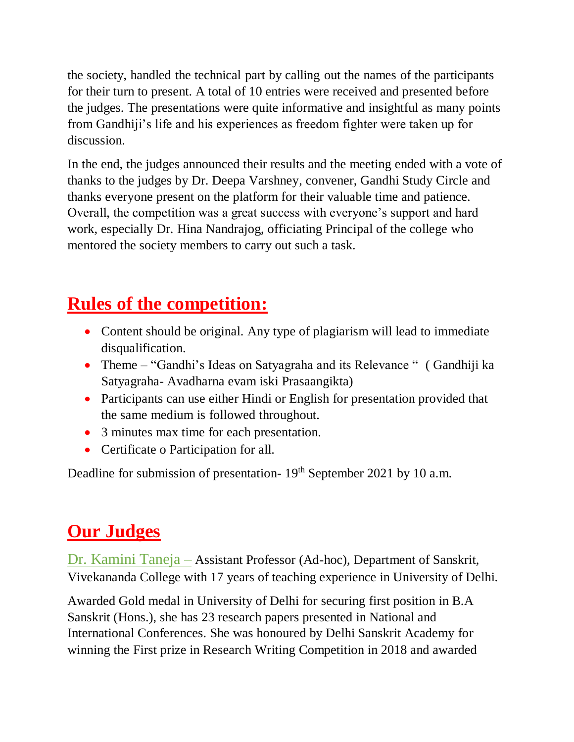the society, handled the technical part by calling out the names of the participants for their turn to present. A total of 10 entries were received and presented before the judges. The presentations were quite informative and insightful as many points from Gandhiji's life and his experiences as freedom fighter were taken up for discussion.

In the end, the judges announced their results and the meeting ended with a vote of thanks to the judges by Dr. Deepa Varshney, convener, Gandhi Study Circle and thanks everyone present on the platform for their valuable time and patience. Overall, the competition was a great success with everyone's support and hard work, especially Dr. Hina Nandrajog, officiating Principal of the college who mentored the society members to carry out such a task.

#### **Rules of the competition:**

- Content should be original. Any type of plagiarism will lead to immediate disqualification.
- Theme "Gandhi's Ideas on Satyagraha and its Relevance " (Gandhiji ka Satyagraha- Avadharna evam iski Prasaangikta)
- Participants can use either Hindi or English for presentation provided that the same medium is followed throughout.
- 3 minutes max time for each presentation.
- Certificate o Participation for all.

Deadline for submission of presentation- 19<sup>th</sup> September 2021 by 10 a.m.

### **Our Judges**

Dr. Kamini Taneja – Assistant Professor (Ad-hoc), Department of Sanskrit, Vivekananda College with 17 years of teaching experience in University of Delhi.

Awarded Gold medal in University of Delhi for securing first position in B.A Sanskrit (Hons.), she has 23 research papers presented in National and International Conferences. She was honoured by Delhi Sanskrit Academy for winning the First prize in Research Writing Competition in 2018 and awarded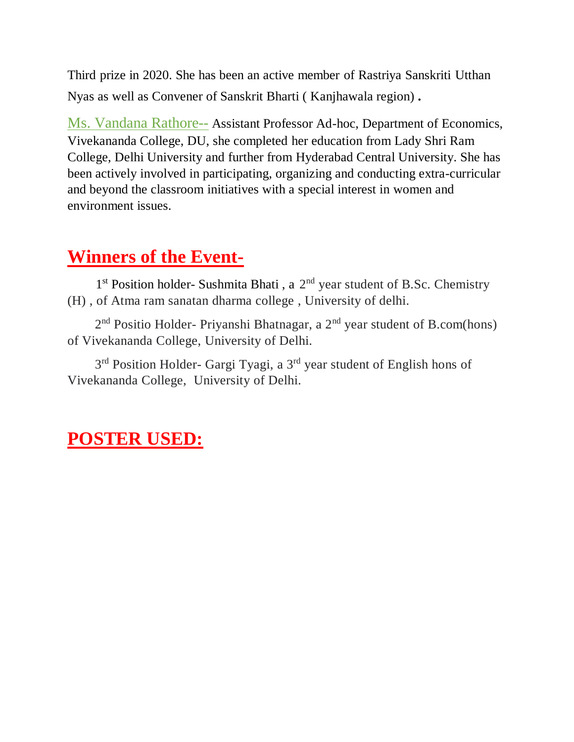Third prize in 2020. She has been an active member of Rastriya Sanskriti Utthan Nyas as well as Convener of Sanskrit Bharti ( Kanjhawala region) .

Ms. Vandana Rathore-- Assistant Professor Ad-hoc, Department of Economics, Vivekananda College, DU, she completed her education from Lady Shri Ram College, Delhi University and further from Hyderabad Central University. She has been actively involved in participating, organizing and conducting extra-curricular and beyond the classroom initiatives with a special interest in women and environment issues.

#### **Winners of the Event-**

1<sup>st</sup> Position holder- Sushmita Bhati, a 2<sup>nd</sup> year student of B.Sc. Chemistry (H) , of Atma ram sanatan dharma college , University of delhi.

2<sup>nd</sup> Positio Holder- Priyanshi Bhatnagar, a 2<sup>nd</sup> year student of B.com(hons) of Vivekananda College, University of Delhi.

3<sup>rd</sup> Position Holder- Gargi Tyagi, a 3<sup>rd</sup> year student of English hons of Vivekananda College, University of Delhi.

#### **POSTER USED:**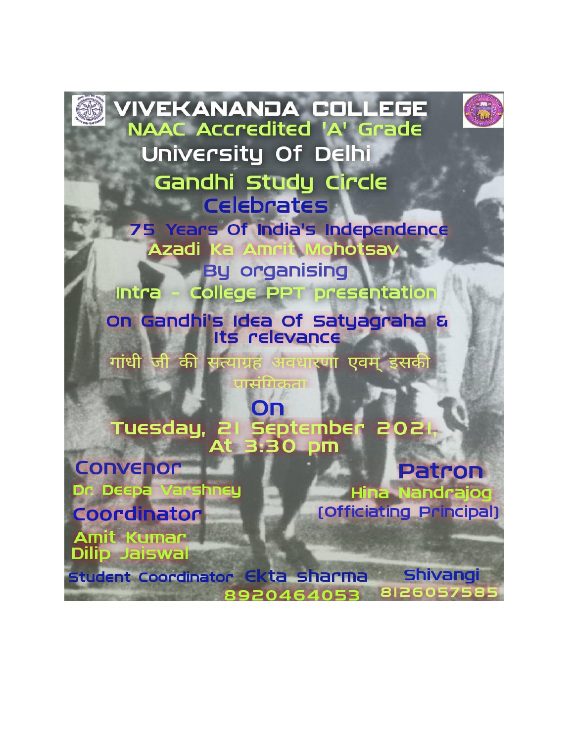

**THE SANANDA COLLEGE**<br>NAAC Accredited 'A' Grade University Of Delhi Gandhi Study Circle **Example 2 75 Years Of India's Independence** Ka Amrit Mohotsav **Azadi By organising** 

Intra - College PPT presentation

on Gandhi's Idea of Satyagraha &<br>Its relevance

गांधी जी की सत्याग्रह अवधारणा एवम् इसकी

पासंगिकता

ON Tuesday, 21 September<br>At 3:30 pm

**CONVEROF** Dr. Deepa Va **hneu** Coordinator

**Patron Hina Nandrajog** [Officiating Principal]

Amit Kumar **Dilip Jaiswal** 

Shivangi student Coordinator Ekta sharma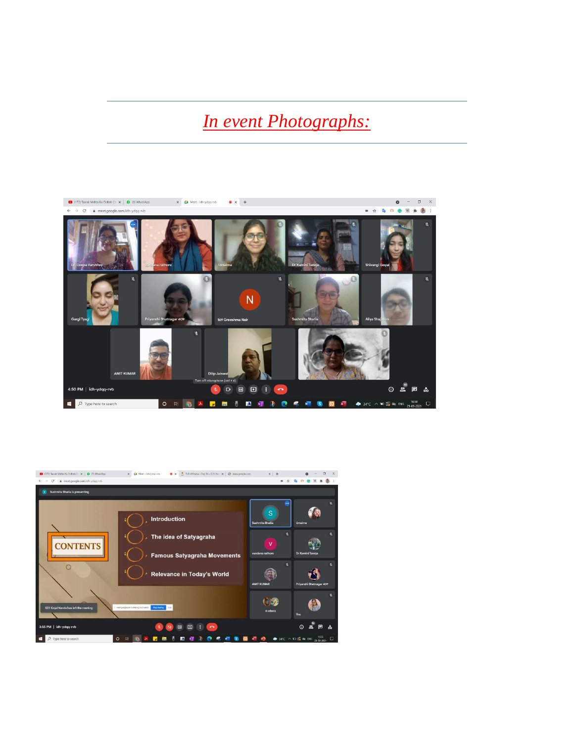#### *In event Photographs:*